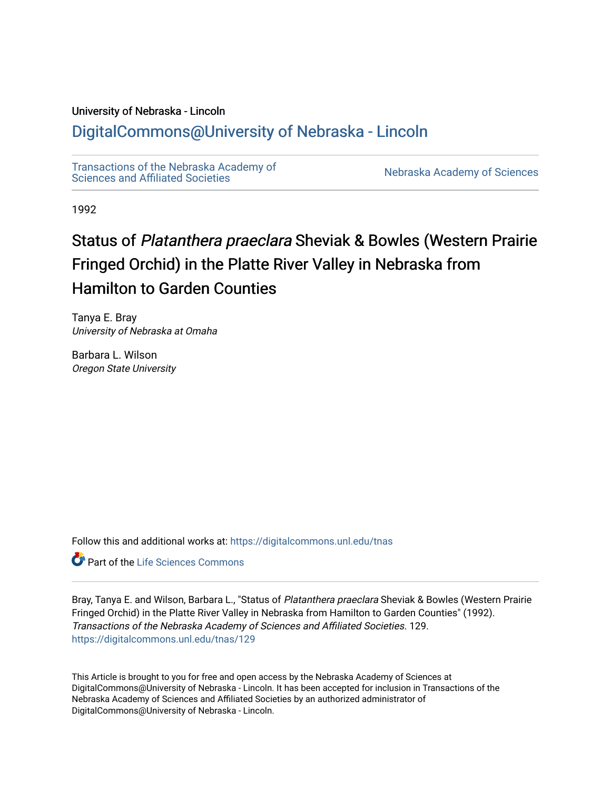# University of Nebraska - Lincoln

# [DigitalCommons@University of Nebraska - Lincoln](https://digitalcommons.unl.edu/)

[Transactions of the Nebraska Academy of](https://digitalcommons.unl.edu/tnas)  Transactions of the Nebraska Academy of Sciences<br>Sciences and Affiliated Societies

1992

# Status of Platanthera praeclara Sheviak & Bowles (Western Prairie Fringed Orchid) in the Platte River Valley in Nebraska from Hamilton to Garden Counties

Tanya E. Bray University of Nebraska at Omaha

Barbara L. Wilson Oregon State University

Follow this and additional works at: [https://digitalcommons.unl.edu/tnas](https://digitalcommons.unl.edu/tnas?utm_source=digitalcommons.unl.edu%2Ftnas%2F129&utm_medium=PDF&utm_campaign=PDFCoverPages) 

**C** Part of the Life Sciences Commons

Bray, Tanya E. and Wilson, Barbara L., "Status of Platanthera praeclara Sheviak & Bowles (Western Prairie Fringed Orchid) in the Platte River Valley in Nebraska from Hamilton to Garden Counties" (1992). Transactions of the Nebraska Academy of Sciences and Affiliated Societies. 129. [https://digitalcommons.unl.edu/tnas/129](https://digitalcommons.unl.edu/tnas/129?utm_source=digitalcommons.unl.edu%2Ftnas%2F129&utm_medium=PDF&utm_campaign=PDFCoverPages) 

This Article is brought to you for free and open access by the Nebraska Academy of Sciences at DigitalCommons@University of Nebraska - Lincoln. It has been accepted for inclusion in Transactions of the Nebraska Academy of Sciences and Affiliated Societies by an authorized administrator of DigitalCommons@University of Nebraska - Lincoln.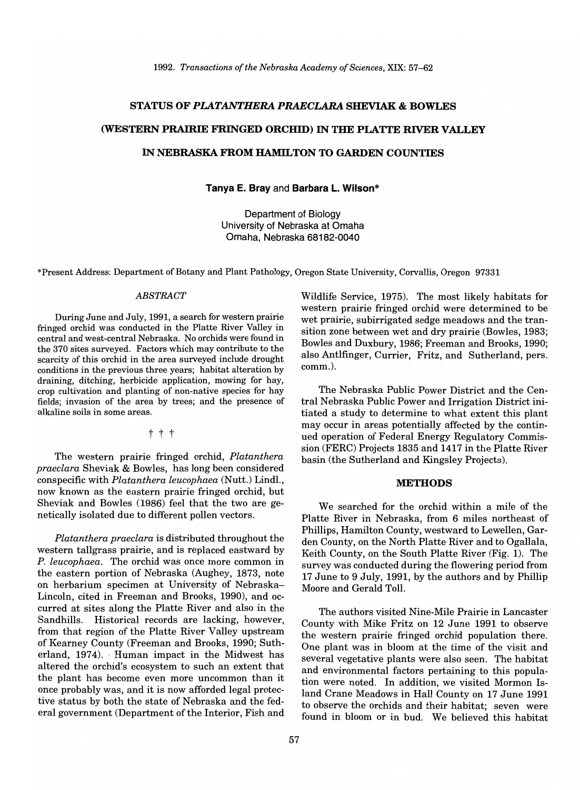#### **STATUS OF** *PLATANTHERA PRAECLARA* **SHEVIAK & BOWLES**

# **(WESTERN PRAIRIE FRINGED ORCIDD) IN THE PLATTE RIVER VALLEY**

## **IN NEBRASKA FROM HAMILTON TO GARDEN COUNTIES**

**Tanya E. Bray** and **Barbara L. Wilson\*** 

Department of Biology University of Nebraska at Omaha Omaha, Nebraska 68182-0040

\*Present Address: Department of Botany and Plant Pathology, Oregon State University, Corvallis, Oregon 97331

#### *ABSTRACT*

During June and July, 1991, a search for western prairie fringed orchid was conducted in the Platte River Valley in central and west-central Nebraska. No orchids were found in the 370 sites surveyed. Factors which may contribute to the scarcity of this orchid in the area surveyed include drought conditions in the previous three years; habitat alteration by draining, ditching, herbicide application, mowing for hay, crop cultivation and planting of non-native species for hay fields; invasion of the area by trees; and the presence of alkaline soils in some areas.

t t t

The western prairie fringed orchid, *Platanthera praeclara* Sheviak & Bowles, has long been considered conspecific with *Platanthera leucophaea* (Nutt.) Lindl., now known as the eastern prairie fringed orchid, but Sheviak and Bowles (1986) feel that the two are genetically isolated due to different pollen vectors.

*Platanthera praeclara* is distributed throughout the western tallgrass prairie, and is replaced eastward by *P. leucophaea.* The orchid was once more common in the eastern portion of Nebraska (Aughey, 1873, note on herbarium specimen at University of Nebraska-Lincoln, cited in Freeman and Brooks, 1990), and occurred at sites along the Platte River and also in the Sandhills. Historical records are lacking, however, from that region of the Platte River Valley upstream of Kearney County (Freeman and Brooks, 1990; Sutherland, 1974). Human impact in the Midwest has altered the orchid's ecosystem to such an extent that the plant has become even more uncommon than it once probably was, and it is now afforded legal protective status by both the state of Nebraska and the federal government (Department of the Interior, Fish and Wildlife Service, 1975). The most likely habitats for western prairie fringed orchid were determined to be wet prairie, subirrigated sedge meadows and the transition zone between wet and dry prairie (Bowles, 1983; Bowles and Duxbury, 1986; Freeman and Brooks, 1990; also Antlfinger, Currier, Fritz, and Sutherland, pers. comm.).

The Nebraska Public Power District and the Central Nebraska Public Power and Irrigation District initiated a study to determine to what extent this plant may occur in areas potentially affected by the continued operation of Federal Energy Regulatory Commission (FERC) Projects 1835 and 1417 in the Platte River basin (the Sutherland and Kingsley Projects).

#### **METHODS**

We searched for the orchid within a mile of the Platte River in Nebraska, from 6 miles northeast of Phillips, Hamilton County, westward to Lewellen, Garden County, on the North Platte River and to Ogallala, Keith County, on the South Platte River (Fig. 1). The survey was conducted during the flowering period from 17 June to 9 July, 1991, by the authors and by Phillip Moore and Gerald Toll.

The authors visited Nine-Mile Prairie in Lancaster County with Mike Fritz on 12 June 1991 to observe the western prairie fringed orchid population there. One plant was in bloom at the time of the visit and several vegetative plants were also seen. The habitat and environmental factors pertaining to this population were noted. In addition, we visited Mormon Island Crane Meadows in Hall County on 17 June 1991 to observe the orchids and their habitat; seven were found in bloom or in bud. We believed this habitat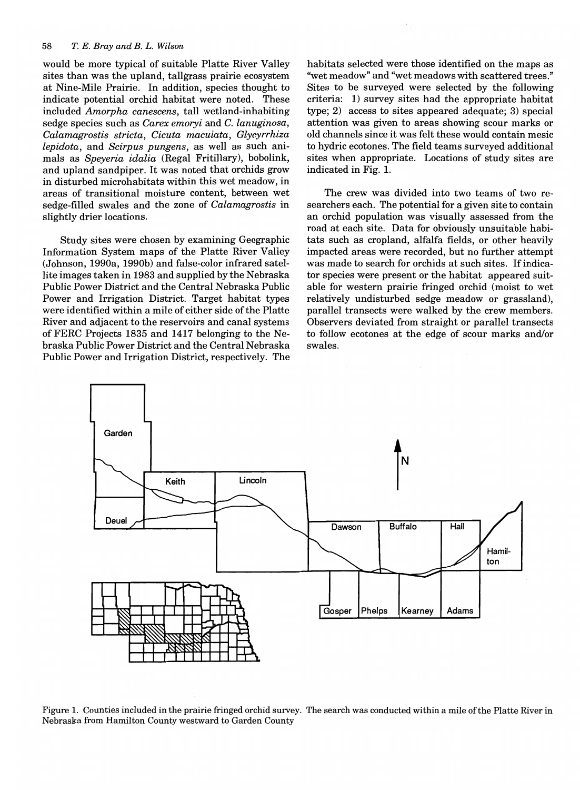#### *58 T. E. Bray and B. L. Wilson*

would be more typical of suitable Platte River Valley sites than was the upland, tallgrass prairie ecosystem at Nine-Mile Prairie. In addition, species thought to indicate potential orchid habitat were noted. These included *Amorpha canescens,* tall wetland-inhabiting sedge species such as *Carex emoryi* and C. *lanuginosa, Calamagrostis stricta, Cicuta maculata, Glycyrrhiza lepidota,* and *Scirpus pungens,* as well as such animals as *Speyeria idalia* (Regal Fritillary), bobolink, and upland sandpiper. It was noted that orchids grow in disturbed microhabitats within this wet meadow, in areas of transitional moisture content, between wet sedge-filled swales and the zone of *Calamagrostis* in slightly drier locations.

Study sites were chosen by examining Geographic Information System maps of the Platte River Valley (Johnson, 1990a, 1990b) and false-color infrared satellite images taken in 1983 and supplied by the Nebraska Public Power District and the Central Nebraska Public Power and Irrigation District. Target habitat types were identified within a mile of either side of the Platte River and adjacent to the reservoirs and canal systems of FERC Projects 1835 and 1417 belonging to the Nebraska Public Power District and the Central Nebraska Public Power and Irrigation District, respectively. The

habitats selected were those identified on the maps as ''wet meadow" and "wet meadows with scattered trees." Sites to be surveyed were selected by the following criteria: 1) survey sites had the appropriate habitat type; 2) access to sites appeared adequate; 3) special attention was given to areas showing scour marks or old channels since it was felt these would contain mesic to hydric ecotones. The field teams surveyed additional sites when appropriate. Locations of study sites are indicated in Fig. 1.

The crew was divided into two teams of two researchers each. The potential for a given site to contain an orchid population was visually assessed from the road at each site. Data for obviously unsuitable habitats such as cropland, alfalfa fields, or other heavily impacted areas were recorded, but no further attempt was made to search for orchids at such sites. If indicator species were present or the habitat appeared suitable for western prairie fringed orchid (moist to wet relatively undisturbed sedge meadow or grassland), parallel transects were walked by the crew members. Observers deviated from straight or parallel transects to follow ecotones at the edge of scour marks and/or swales.



Figure 1. Counties included in the prairie fringed orchid survey. The search was conducted within a mile of the Platte River in Nebraska from Hamilton County westward to Garden County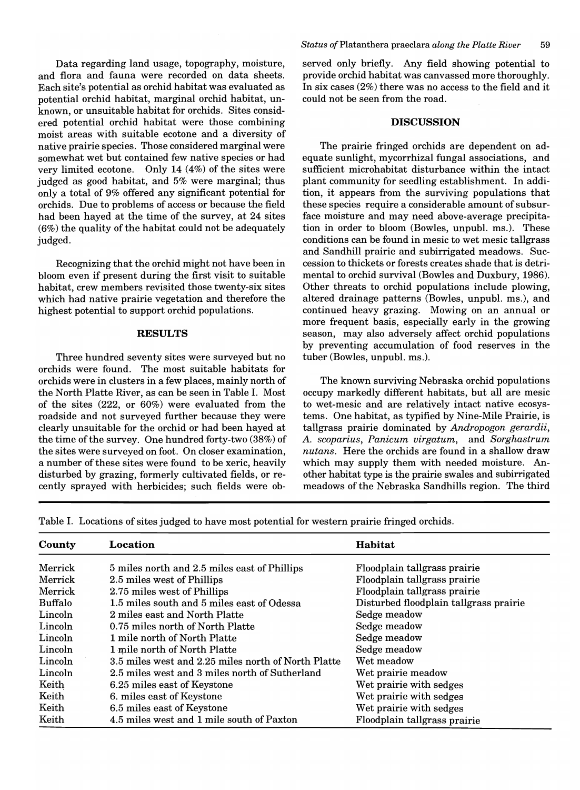Data regarding land usage, topography, moisture, and flora and fauna were recorded on data sheets. Each site's potential as orchid habitat was evaluated as potential orchid habitat, marginal orchid habitat, unknown, or unsuitable habitat for orchids. Sites considered potential orchid habitat were those combining moist areas with suitable ecotone and a diversity of native prairie species. Those considered marginal were somewhat wet but contained few native species or had very limited ecotone. Only 14 (4%) of the sites were judged as good habitat, and 5% were marginal; thus only a total of 9% offered any significant potential for orchids. Due to problems of access or because the field had been hayed at the time of the survey, at 24 sites (6%) the quality of the habitat could not be adequately judged.

Recognizing that the orchid might not have been in bloom even if present during the first visit to suitable habitat, crew members revisited those twenty-six sites which had native prairie vegetation and therefore the highest potential to support orchid populations.

## RESULTS

Three hundred seventy sites were surveyed but no orchids were found. The most suitable habitats for orchids were in clusters in a few places, mainly north of the North Platte River, as can be seen in Table I. Most of the sites (222, or 60%) were evaluated from the roadside and not surveyed further because they were clearly unsuitable for the orchid or had been hayed at the time of the survey. One hundred forty-two (38%) of the sites were surveyed on foot. On closer examination, a number of these sites were found to be xeric, heavily disturbed by grazing, formerly cultivated fields, or recently sprayed with herbicides; such fields were observed only briefly. Any field showing potential to provide orchid habitat was canvassed more thoroughly. In six cases (2%) there was no access to the field and it could not be seen from the road.

#### **DISCUSSION**

The prairie fringed orchids are dependent on adequate sunlight, mycorrhizal fungal associations, and sufficient microhabitat disturbance within the intact plant community for seedling establishment. In addition, it appears from the surviving populations that these species require a considerable amount of subsurface moisture and may need above-average precipitation in order to bloom (Bowles, unpubl. ms.). These conditions can be found in mesic to wet mesic tallgrass and Sandhill prairie and subirrigated meadows. Succession to thickets or forests creates shade that is detrimental to orchid survival (Bowles and Duxbury, 1986). Other threats to orchid populations include plowing, altered drainage patterns (Bowles, unpubl. ms.), and continued heavy grazing. Mowing on an annual or more frequent basis, especially early in the growing season, may also adversely affect orchid populations by preventing accumulation of food reserves in the tuber (Bowles, unpubl. ms.).

The known surviving Nebraska orchid populations occupy markedly different habitats, but all are mesic to wet-mesic and are relatively intact native ecosystems. One habitat, as typified by Nine-Mile Prairie, is tallgrass prairie dominated by *Andropogon gerardii,*  A. *scoparius, Panicum virgatum,* and *Sorghastrum nutans.* Here the orchids are found in a shallow draw which may supply them with needed moisture. Another habitat type is the prairie swales and subirrigated meadows of the Nebraska Sandhills region. The third

Table I. Locations of sites judged to have most potential for western prairie fringed orchids.

| County  | Location                                            | <b>Habitat</b>                         |
|---------|-----------------------------------------------------|----------------------------------------|
| Merrick | 5 miles north and 2.5 miles east of Phillips        | Floodplain tallgrass prairie           |
| Merrick | 2.5 miles west of Phillips                          | Floodplain tallgrass prairie           |
| Merrick | 2.75 miles west of Phillips                         | Floodplain tallgrass prairie           |
| Buffalo | 1.5 miles south and 5 miles east of Odessa          | Disturbed floodplain tallgrass prairie |
| Lincoln | 2 miles east and North Platte                       | Sedge meadow                           |
| Lincoln | 0.75 miles north of North Platte                    | Sedge meadow                           |
| Lincoln | 1 mile north of North Platte                        | Sedge meadow                           |
| Lincoln | 1 mile north of North Platte                        | Sedge meadow                           |
| Lincoln | 3.5 miles west and 2.25 miles north of North Platte | Wet meadow                             |
| Lincoln | 2.5 miles west and 3 miles north of Sutherland      | Wet prairie meadow                     |
| Keith   | 6.25 miles east of Keystone                         | Wet prairie with sedges                |
| Keith   | 6. miles east of Keystone                           | Wet prairie with sedges                |
| Keith   | 6.5 miles east of Keystone                          | Wet prairie with sedges                |
| Keith   | 4.5 miles west and 1 mile south of Paxton           | Floodplain tallgrass prairie           |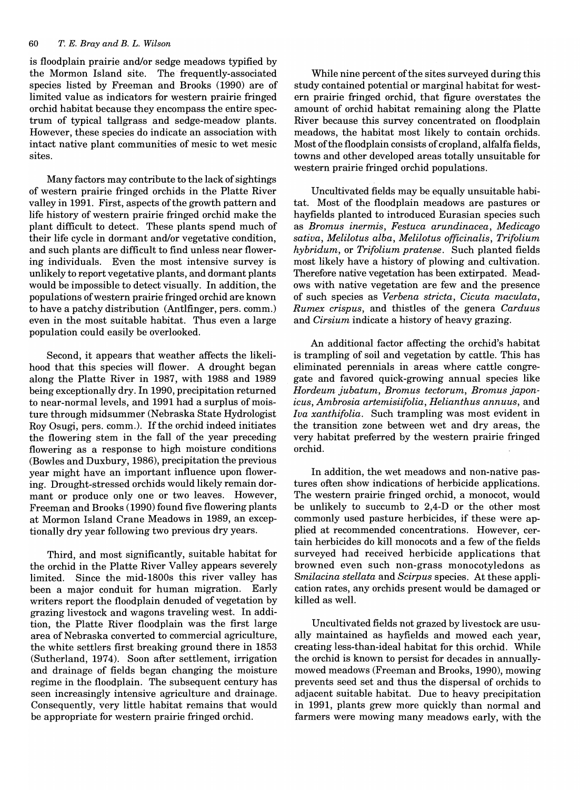is floodplain prairie and/or sedge meadows typified by the Mormon Island site. The frequently-associated species listed by Freeman and Brooks (1990) are of limited value as indicators for western prairie fringed orchid habitat because they encompass the entire spectrum of typical tallgrass and sedge-meadow plants. However, these species do indicate an association with intact native plant communities of mesic to wet mesic sites.

Many factors may contribute to the lack of sightings of western prairie fringed orchids in the Platte River valley in 1991. First, aspects of the growth pattern and life history of western prairie fringed orchid make the plant difficult to detect. These plants spend much of their life cycle in dormant and/or vegetative condition, and such plants are difficult to find unless near flowering individuals. Even the most intensive survey is unlikely to report vegetative plants, and dormant plants would be impossible to detect visually. In addition, the populations of western prairie fringed orchid are known to have a patchy distribution (Antlfinger, pers. comm.) even in the most suitable habitat. Thus even a large population could easily be overlooked.

Second, it appears that weather affects the likelihood that this species will flower. A drought began along the Platte River in 1987, with 1988 and 1989 being exceptionally dry. In 1990, precipitation returned to near-normal levels, and 1991 had a surplus of moisture through midsummer (Nebraska State Hydrologist Roy Osugi, pers. comm.). If the orchid indeed initiates the flowering stem in the fall of the year preceding flowering as a response to high moisture conditions (Bowles and Duxbury, 1986), precipitation the previous year might have an important influence upon flowering. Drought-stressed orchids would likely remain dormant or produce only one or two leaves. However, Freeman and Brooks (1990) found five flowering plants at Mormon Island Crane Meadows in 1989, an exceptionally dry year following two previous dry years.

Third, and most significantly, suitable habitat for the orchid in the Platte River Valley appears severely limited. Since the mid-1800s this river valley has been a major conduit for human migration. Early writers report the floodplain denuded of vegetation by grazing livestock and wagons traveling west. In addition, the Platte River floodplain was the first large area of Nebraska converted to commercial agriculture, the white settlers first breaking ground there in 1853 (Sutherland, 1974). Soon after settlement, irrigation and drainage of fields began changing the moisture regime in the floodplain. The subsequent century has seen increasingly intensive agriculture and drainage. Consequently, very little habitat remains that would be appropriate for western prairie fringed orchid.

While nine percent of the sites surveyed during this study contained potential or marginal habitat for western prairie fringed orchid, that figure overstates the amount of orchid habitat remaining along the Platte River because this survey concentrated on floodplain meadows, the habitat most likely to contain orchids. Most of the floodplain consists of cropland, alfalfa fields, towns and other developed areas totally unsuitable for western prairie fringed orchid populations.

Uncultivated fields may be equally unsuitable habitat. Most of the floodplain meadows are pastures or hayfields planted to introduced Eurasian species such as *Bromus inermis, Festuca arundinacea, Medicago sativa, Melilotus alba, Melilotus officinalis, Trifolium hybridum,* or *Trifolium pratense.* Such planted fields most likely have a history of plowing and cultivation. Therefore native vegetation has been extirpated. Meadows with native vegetation are few and the presence of such species as *Verbena stricta, Cicuta maculata, Rumex crispus,* and thistles of the genera *Carduus*  and *Cirsium* indicate a history of heavy grazing.

An additional factor affecting the orchid's habitat is trampling of soil and vegetation by cattle. This has eliminated perennials in areas where cattle congregate and favored quick-growing annual species like *Hordeum jubatum, Bromus tectorum, Bromus japonicus, Ambrosia artemisiifolia, Helianthus annuus,* and *Iva xanthifolia.* Such trampling was most evident in the transition zone between wet and dry areas, the very habitat preferred by the western prairie fringed orchid.

In addition, the wet meadows and non-native pastures often show indications of herbicide applications. The western prairie fringed orchid, a monocot, would be unlikely to succumb to 2,4-D or the other most commonly used pasture herbicides, if these were applied at recommended concentrations. However, certain herbicides do kill monocots and a few of the fields surveyed had received herbicide applications that browned even such non-grass monocotyledons as *Smilacina stellata* and *Scirpus* species. At these application rates, any orchids present would be damaged or killed as well.

Uncultivated fields not grazed by livestock are usually maintained as hayfields and mowed each year, creating less-than-ideal habitat for this orchid. While the orchid is known to persist for decades in annuallymowed meadows (Freeman and Brooks, 1990), mowing prevents seed set and thus the dispersal of orchids to adjacent suitable habitat. Due to heavy precipitation in 1991, plants grew more quickly than normal and farmers were mowing many meadows early, with the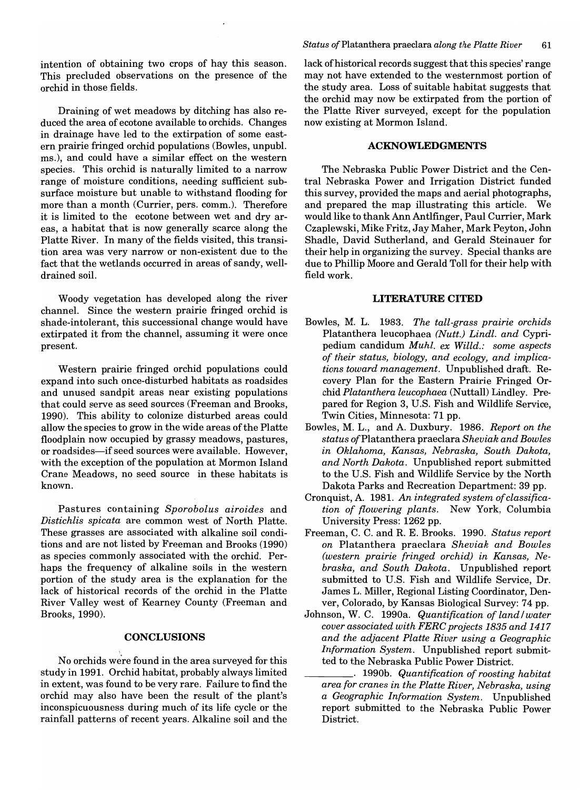intention of obtaining two crops of hay this season. This precluded observations on the presence of the orchid in those fields.

Draining of wet meadows by ditching has also reduced the area of ecotone available to orchids. Changes in drainage have led to the extirpation of some eastern prairie fringed orchid populations (Bowles, unpubl. ms.), and could have a similar effect on the western species. This orchid is naturally limited to a narrow range of moisture conditions, needing sufficient subsurface moisture but unable to withstand flooding for more than a month (Currier, pers. comm.). Therefore it is limited to the ecotone between wet and dry areas, a habitat that is now generally scarce along the Platte River. In many of the fields visited, this transition area was very narrow or non-existent due to the fact that the wetlands occurred in areas of sandy, welldrained soil.

Woody vegetation has developed along the river channel. Since the western prairie fringed orchid is shade-intolerant, this successional change would have extirpated it from the channel, assuming it were once present.

Western prairie fringed orchid populations could expand into such once-disturbed habitats as roadsides and unused sandpit areas near existing populations that could serve as seed sources (Freeman and Brooks, 1990). This ability to colonize disturbed areas could allow the species to grow in the wide areas of the Platte floodplain now occupied by grassy meadows, pastures, or roadsides-if seed sources were available. However, with the exception of the population at Mormon Island Crane Meadows, no seed source in these habitats is known.

Pastures containing *Sporobolus airoides* and *Distichlis spicata* are common west of North Platte. These grasses are associated with alkaline soil conditions and are not listed by Freeman and Brooks (1990) as species commonly associated with the orchid. Perhaps the frequency of alkaline soils in the western portion of the study area is the explanation for the lack of historical records of the orchid in the Platte River Valley west of Kearney County (Freeman and Brooks, 1990).

#### **CONCLUSIONS**

No orchids were found in the area surveyed for this study in 1991. Orchid habitat, probably always limited in extent, was found to be very rare. Failure to find the orchid may also have been the result of the plant's inconspicuousness during much of its life cycle or the rainfall patterns of recent years. Alkaline soil and the lack of historical records suggest that this species' range may not have extended to the westernmost portion of the study area. Loss of suitable habitat suggests that the orchid may now be extirpated from the portion of the Platte River surveyed, except for the population now existing at Mormon Island.

#### **ACKNOWLEDGMENTS**

The Nebraska Public Power District and the Central Nebraska Power and Irrigation District funded this survey, provided the maps and aerial photographs, and prepared the map illustrating this article. We would like to thank Ann Antlfinger, Paul Currier, Mark Czaplewski, Mike Fritz, Jay Maher, Mark Peyton, John Shadle, David Sutherland, and Gerald Steinauer for their help in organizing the survey. Special thanks are due to Phillip Moore and Gerald Toll for their help with field work.

#### **LITERATURE CITED**

- Bowles, M. L. 1983. *The tall-grass prairie orchids*  Platanthera leucophaea *(Nutt.) Lindl. and* Cypripedium candidum *Muhl. ex Willd.: some aspects of their status, biology, and ecology, and implications toward management.* Unpublished draft. Recovery Plan for the Eastern Prairie Fringed Orchid *Platanthera leucophaea* (Nuttall) Lindley. Prepared for Region 3, U.S. Fish and Wildlife Service, Twin Cities, Minnesota: 71 pp.
- Bowles, M. L., and A. Duxbury. 1986. *Report on the status of* Plata nth era praeclara *Sheviak and Bowles in Oklahoma, Kansas, Nebraska, South Dakota, and North Dakota.* Unpublished report submitted to the U.S. Fish and Wildlife Service by the North Dakota Parks and Recreation Department: 39 pp.
- Cronquist, A. 1981. *An integrated system of classification of flowering plants.* New York, Columbia University Press: 1262 pp.
- Freeman, C. C. and R. E. Brooks. 1990. *Status report on* Platanthera praeclara *Sheviak and Bowles (western prairie fringed orchid) in Kansas, Nebraska, and South Dakota.* Unpublished report submitted to U.s. Fish and Wildlife Service, Dr. James L. Miller, Regional Listing Coordinator, Denver, Colorado, by Kansas Biological Survey: 74 pp.
- Johnson, W. C. 1990a. *Quantification of land/water cover associated with FERC projects* 1835 *and 1417 and the adjacent Platte River using a Geographic Information System.* Unpublished report submitted to the Nebraska Public Power District.
	- \_\_\_\_ . 1990b. *Quantification of roosting habitat area for cranes in the Platte River, Nebraska, using a Geographic Information System.* Unpublished report submitted to the Nebraska Public Power District.